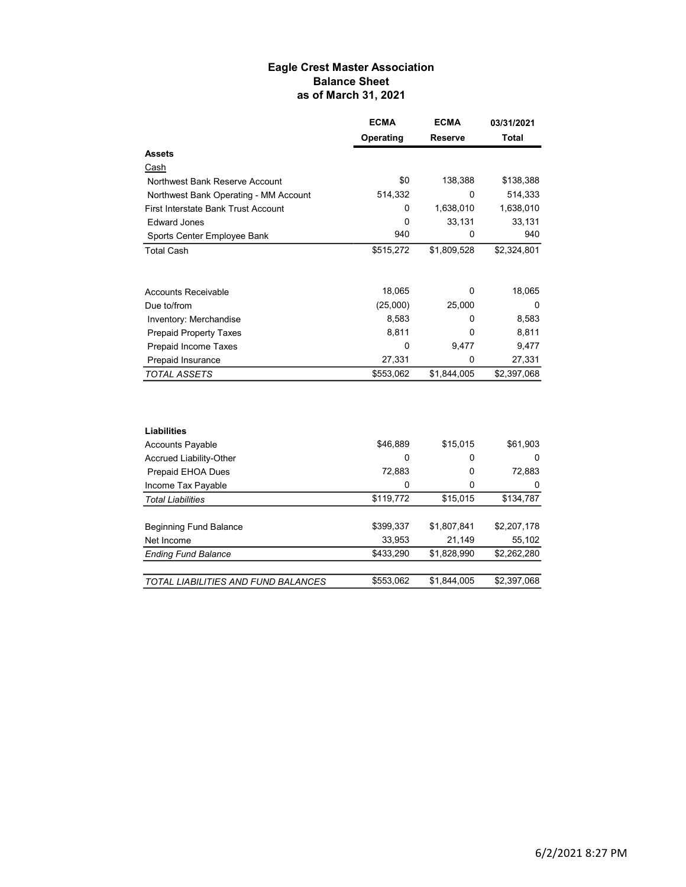# Eagle Crest Master Association Balance Sheet as of March 31, 2021

|                                            | <b>ECMA</b> | <b>ECMA</b> | 03/31/2021   |
|--------------------------------------------|-------------|-------------|--------------|
|                                            | Operating   | Reserve     | <b>Total</b> |
| <b>Assets</b>                              |             |             |              |
| Cash                                       |             |             |              |
| Northwest Bank Reserve Account             | \$0         | 138,388     | \$138,388    |
| Northwest Bank Operating - MM Account      | 514,332     | 0           | 514,333      |
| <b>First Interstate Bank Trust Account</b> | 0           | 1,638,010   | 1,638,010    |
| <b>Edward Jones</b>                        | 0           | 33,131      | 33,131       |
| Sports Center Employee Bank                | 940         | 0           | 940          |
| <b>Total Cash</b>                          | \$515,272   | \$1,809,528 | \$2,324,801  |
| <b>Accounts Receivable</b>                 | 18,065      | 0           | 18,065       |
| Due to/from                                | (25,000)    | 25,000      | 0            |
| Inventory: Merchandise                     | 8,583       | 0           | 8,583        |
| <b>Prepaid Property Taxes</b>              | 8,811       | 0           | 8,811        |
| Prepaid Income Taxes                       | 0           | 9,477       | 9,477        |
| Prepaid Insurance                          | 27,331      | 0           | 27,331       |
| <b>TOTAL ASSETS</b>                        | \$553,062   | \$1,844,005 | \$2,397,068  |
|                                            |             |             |              |
| <b>Liabilities</b>                         |             |             |              |
| <b>Accounts Payable</b>                    | \$46,889    | \$15,015    | \$61,903     |
| Accrued Liability-Other                    | 0           | 0           | 0            |
| Prepaid EHOA Dues                          | 72,883      | 0           | 72,883       |
| Income Tax Payable                         | 0           | 0           | 0            |
| <b>Total Liabilities</b>                   | \$119,772   | \$15,015    | \$134,787    |
| <b>Beginning Fund Balance</b>              | \$399,337   | \$1,807,841 | \$2,207,178  |
| Net Income                                 | 33,953      | 21,149      | 55,102       |
| <b>Ending Fund Balance</b>                 | \$433,290   | \$1,828,990 | \$2,262,280  |
| TOTAL LIABILITIES AND FUND BALANCES        | \$553,062   | \$1,844,005 | \$2,397,068  |
|                                            |             |             |              |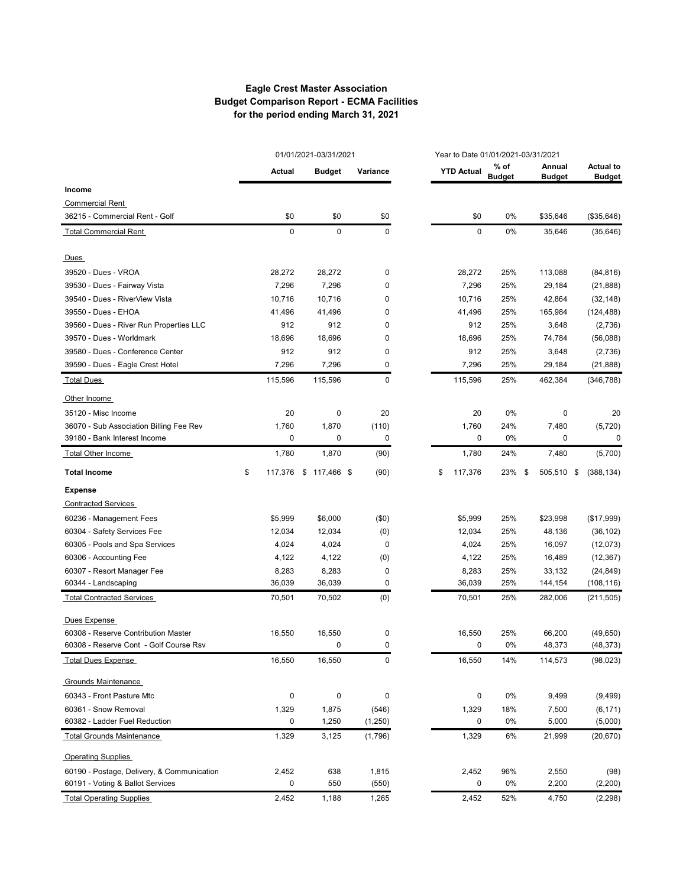## Eagle Crest Master Association Budget Comparison Report - ECMA Facilities for the period ending March 31, 2021

|                                            | 01/01/2021-03/31/2021 |               |             |                   | Year to Date 01/01/2021-03/31/2021 |                         |                                   |  |
|--------------------------------------------|-----------------------|---------------|-------------|-------------------|------------------------------------|-------------------------|-----------------------------------|--|
|                                            | Actual                | <b>Budget</b> | Variance    | <b>YTD Actual</b> | % of<br><b>Budget</b>              | Annual<br><b>Budget</b> | <b>Actual to</b><br><b>Budget</b> |  |
| Income                                     |                       |               |             |                   |                                    |                         |                                   |  |
| <b>Commercial Rent</b>                     |                       |               |             |                   |                                    |                         |                                   |  |
| 36215 - Commercial Rent - Golf             | \$0                   | \$0           | \$0         | \$0               | 0%                                 | \$35,646                | (\$35,646)                        |  |
| <b>Total Commercial Rent</b>               | 0                     | $\mathbf 0$   | $\mathbf 0$ | 0                 | 0%                                 | 35,646                  | (35, 646)                         |  |
| Dues                                       |                       |               |             |                   |                                    |                         |                                   |  |
| 39520 - Dues - VROA                        | 28,272                | 28,272        | 0           | 28,272            | 25%                                | 113,088                 | (84, 816)                         |  |
| 39530 - Dues - Fairway Vista               | 7,296                 | 7,296         | 0           | 7,296             | 25%                                | 29,184                  | (21, 888)                         |  |
| 39540 - Dues - RiverView Vista             | 10,716                | 10,716        | 0           | 10,716            | 25%                                | 42,864                  | (32, 148)                         |  |
| 39550 - Dues - EHOA                        | 41,496                | 41,496        | 0           | 41,496            | 25%                                | 165,984                 | (124, 488)                        |  |
| 39560 - Dues - River Run Properties LLC    | 912                   | 912           | 0           | 912               | 25%                                | 3,648                   | (2,736)                           |  |
| 39570 - Dues - Worldmark                   | 18,696                | 18,696        | 0           | 18,696            | 25%                                | 74,784                  | (56,088)                          |  |
| 39580 - Dues - Conference Center           | 912                   | 912           | 0           | 912               | 25%                                | 3,648                   | (2,736)                           |  |
| 39590 - Dues - Eagle Crest Hotel           | 7,296                 | 7,296         | 0           | 7,296             | 25%                                | 29,184                  | (21,888)                          |  |
| <b>Total Dues</b>                          | 115,596               | 115,596       | $\mathbf 0$ | 115,596           | 25%                                | 462,384                 | (346, 788)                        |  |
| Other Income                               |                       |               |             |                   |                                    |                         |                                   |  |
| 35120 - Misc Income                        | 20                    | 0             | 20          | 20                | 0%                                 | 0                       | 20                                |  |
| 36070 - Sub Association Billing Fee Rev    | 1,760                 | 1,870         | (110)       | 1,760             | 24%                                | 7,480                   | (5,720)                           |  |
| 39180 - Bank Interest Income               | 0                     | 0             | 0           | $\mathbf 0$       | 0%                                 | 0                       | 0                                 |  |
| Total Other Income                         | 1,780                 | 1,870         | (90)        | 1,780             | 24%                                | 7,480                   | (5,700)                           |  |
| <b>Total Income</b>                        | \$<br>117,376         | $$117,466$ \$ | (90)        | 117,376<br>\$     | 23%                                | -\$<br>505,510 \$       | (388, 134)                        |  |
| <b>Expense</b>                             |                       |               |             |                   |                                    |                         |                                   |  |
| <b>Contracted Services</b>                 |                       |               |             |                   |                                    |                         |                                   |  |
| 60236 - Management Fees                    | \$5,999               | \$6,000       | (50)        | \$5,999           | 25%                                | \$23,998                | (\$17,999)                        |  |
| 60304 - Safety Services Fee                | 12,034                | 12,034        | (0)         | 12,034            | 25%                                | 48,136                  | (36, 102)                         |  |
| 60305 - Pools and Spa Services             | 4,024                 | 4,024         | 0           | 4,024             | 25%                                | 16,097                  | (12,073)                          |  |
| 60306 - Accounting Fee                     | 4,122                 | 4,122         | (0)         | 4,122             | 25%                                | 16,489                  | (12, 367)                         |  |
| 60307 - Resort Manager Fee                 | 8,283                 | 8,283         | 0           | 8,283             | 25%                                | 33,132                  | (24, 849)                         |  |
| 60344 - Landscaping                        | 36,039                | 36,039        | 0           | 36,039            | 25%                                | 144,154                 | (108, 116)                        |  |
| <b>Total Contracted Services</b>           | 70,501                | 70,502        | (0)         | 70,501            | 25%                                | 282,006                 | (211, 505)                        |  |
| Dues Expense                               |                       |               |             |                   |                                    |                         |                                   |  |
| 60308 - Reserve Contribution Master        | 16,550                | 16,550        | 0           | 16,550            | 25%                                | 66,200                  | (49, 650)                         |  |
| 60308 - Reserve Cont - Golf Course Rsv     |                       | 0             | $\mathbf 0$ | 0                 | 0%                                 | 48,373                  | (48, 373)                         |  |
| <b>Total Dues Expense</b>                  | 16,550                | 16,550        | 0           | 16,550            | 14%                                | 114,573                 | (98, 023)                         |  |
| Grounds Maintenance                        |                       |               |             |                   |                                    |                         |                                   |  |
| 60343 - Front Pasture Mtc                  | 0                     | $\mathbf 0$   | $\pmb{0}$   | 0                 | 0%                                 | 9,499                   | (9, 499)                          |  |
| 60361 - Snow Removal                       | 1,329                 | 1,875         | (546)       | 1,329             | 18%                                | 7,500                   | (6, 171)                          |  |
| 60382 - Ladder Fuel Reduction              | 0                     | 1,250         | (1, 250)    | 0                 | 0%                                 | 5,000                   | (5,000)                           |  |
| <b>Total Grounds Maintenance</b>           | 1,329                 | 3,125         | (1,796)     | 1,329             | 6%                                 | 21,999                  | (20, 670)                         |  |
| <b>Operating Supplies</b>                  |                       |               |             |                   |                                    |                         |                                   |  |
| 60190 - Postage, Delivery, & Communication | 2,452                 | 638           | 1,815       | 2,452             | 96%                                | 2,550                   | (98)                              |  |
| 60191 - Voting & Ballot Services           | 0                     | 550           | (550)       | 0                 | 0%                                 | 2,200                   | (2,200)                           |  |
| <b>Total Operating Supplies</b>            | 2,452                 | 1,188         | 1,265       | 2,452             | 52%                                | 4,750                   | (2, 298)                          |  |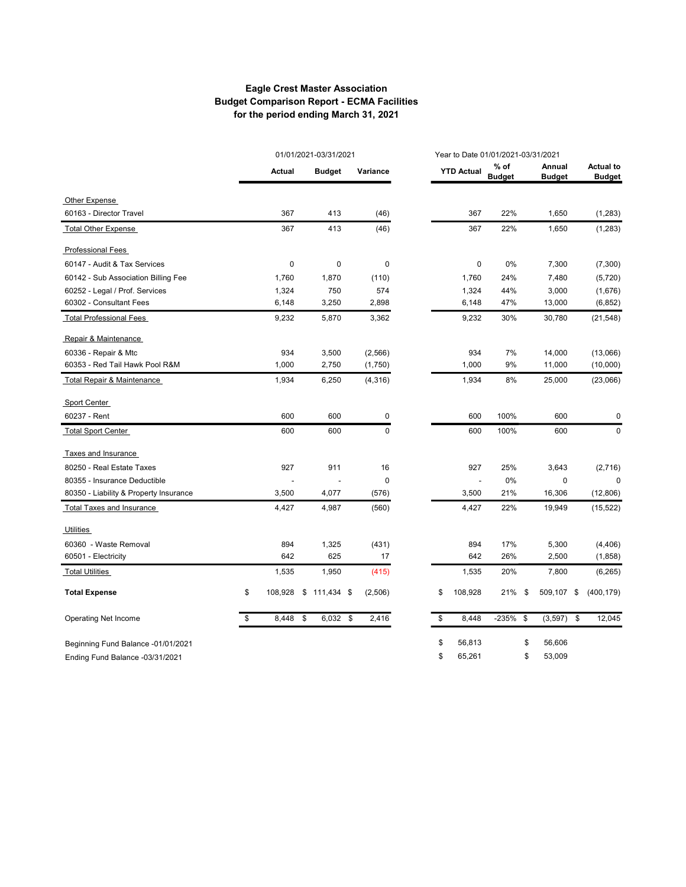## Eagle Crest Master Association Budget Comparison Report - ECMA Facilities for the period ending March 31, 2021

|                                        | 01/01/2021-03/31/2021 |      |               |  | Year to Date 01/01/2021-03/31/2021 |    |                   |                         |      |                         |      |                                   |
|----------------------------------------|-----------------------|------|---------------|--|------------------------------------|----|-------------------|-------------------------|------|-------------------------|------|-----------------------------------|
|                                        | Actual                |      | <b>Budget</b> |  | Variance                           |    | <b>YTD Actual</b> | $%$ of<br><b>Budget</b> |      | Annual<br><b>Budget</b> |      | <b>Actual to</b><br><b>Budget</b> |
| Other Expense                          |                       |      |               |  |                                    |    |                   |                         |      |                         |      |                                   |
| 60163 - Director Travel                | 367                   |      | 413           |  | (46)                               |    | 367               | 22%                     |      | 1,650                   |      | (1,283)                           |
| <b>Total Other Expense</b>             | 367                   |      | 413           |  | (46)                               |    | 367               | 22%                     |      | 1,650                   |      | (1, 283)                          |
| <b>Professional Fees</b>               |                       |      |               |  |                                    |    |                   |                         |      |                         |      |                                   |
| 60147 - Audit & Tax Services           | $\mathbf 0$           |      | 0             |  | $\mathbf 0$                        |    | $\mathbf 0$       | 0%                      |      | 7,300                   |      | (7,300)                           |
| 60142 - Sub Association Billing Fee    | 1,760                 |      | 1,870         |  | (110)                              |    | 1,760             | 24%                     |      | 7,480                   |      | (5, 720)                          |
| 60252 - Legal / Prof. Services         | 1,324                 |      | 750           |  | 574                                |    | 1,324             | 44%                     |      | 3,000                   |      | (1,676)                           |
| 60302 - Consultant Fees                | 6,148                 |      | 3,250         |  | 2,898                              |    | 6,148             | 47%                     |      | 13,000                  |      | (6, 852)                          |
| <b>Total Professional Fees</b>         | 9,232                 |      | 5,870         |  | 3,362                              |    | 9,232             | 30%                     |      | 30,780                  |      | (21, 548)                         |
| Repair & Maintenance                   |                       |      |               |  |                                    |    |                   |                         |      |                         |      |                                   |
| 60336 - Repair & Mtc                   | 934                   |      | 3,500         |  | (2, 566)                           |    | 934               | 7%                      |      | 14,000                  |      | (13,066)                          |
| 60353 - Red Tail Hawk Pool R&M         | 1,000                 |      | 2,750         |  | (1,750)                            |    | 1,000             | 9%                      |      | 11,000                  |      | (10,000)                          |
| Total Repair & Maintenance             | 1,934                 |      | 6,250         |  | (4, 316)                           |    | 1,934             | 8%                      |      | 25,000                  |      | (23,066)                          |
| Sport Center                           |                       |      |               |  |                                    |    |                   |                         |      |                         |      |                                   |
| 60237 - Rent                           | 600                   |      | 600           |  | $\mathbf 0$                        |    | 600               | 100%                    |      | 600                     |      | 0                                 |
| <b>Total Sport Center</b>              | 600                   |      | 600           |  | 0                                  |    | 600               | 100%                    |      | 600                     |      | 0                                 |
| Taxes and Insurance                    |                       |      |               |  |                                    |    |                   |                         |      |                         |      |                                   |
| 80250 - Real Estate Taxes              | 927                   |      | 911           |  | 16                                 |    | 927               | 25%                     |      | 3,643                   |      | (2,716)                           |
| 80355 - Insurance Deductible           |                       |      |               |  | $\pmb{0}$                          |    |                   | 0%                      |      | 0                       |      | 0                                 |
| 80350 - Liability & Property Insurance | 3,500                 |      | 4,077         |  | (576)                              |    | 3,500             | 21%                     |      | 16,306                  |      | (12, 806)                         |
| <b>Total Taxes and Insurance</b>       | 4,427                 |      | 4,987         |  | (560)                              |    | 4,427             | 22%                     |      | 19,949                  |      | (15, 522)                         |
| <b>Utilities</b>                       |                       |      |               |  |                                    |    |                   |                         |      |                         |      |                                   |
| 60360 - Waste Removal                  | 894                   |      | 1,325         |  | (431)                              |    | 894               | 17%                     |      | 5,300                   |      | (4, 406)                          |
| 60501 - Electricity                    | 642                   |      | 625           |  | 17                                 |    | 642               | 26%                     |      | 2,500                   |      | (1,858)                           |
| <b>Total Utilities</b>                 | 1,535                 |      | 1,950         |  | (415)                              |    | 1,535             | 20%                     |      | 7,800                   |      | (6, 265)                          |
| <b>Total Expense</b>                   | \$<br>108,928         |      | $$111,434$ \$ |  | (2,506)                            | \$ | 108,928           | 21%                     | - \$ | 509,107                 | \$   | (400, 179)                        |
| Operating Net Income                   | \$<br>8,448           | - \$ | 6,032 \$      |  | 2,416                              | \$ | 8,448             | $-235\%$ \$             |      | (3, 597)                | - \$ | 12,045                            |
| Beginning Fund Balance -01/01/2021     |                       |      |               |  |                                    | \$ | 56,813            |                         | \$   | 56,606                  |      |                                   |
| Ending Fund Balance -03/31/2021        |                       |      |               |  |                                    | \$ | 65,261            |                         | \$   | 53,009                  |      |                                   |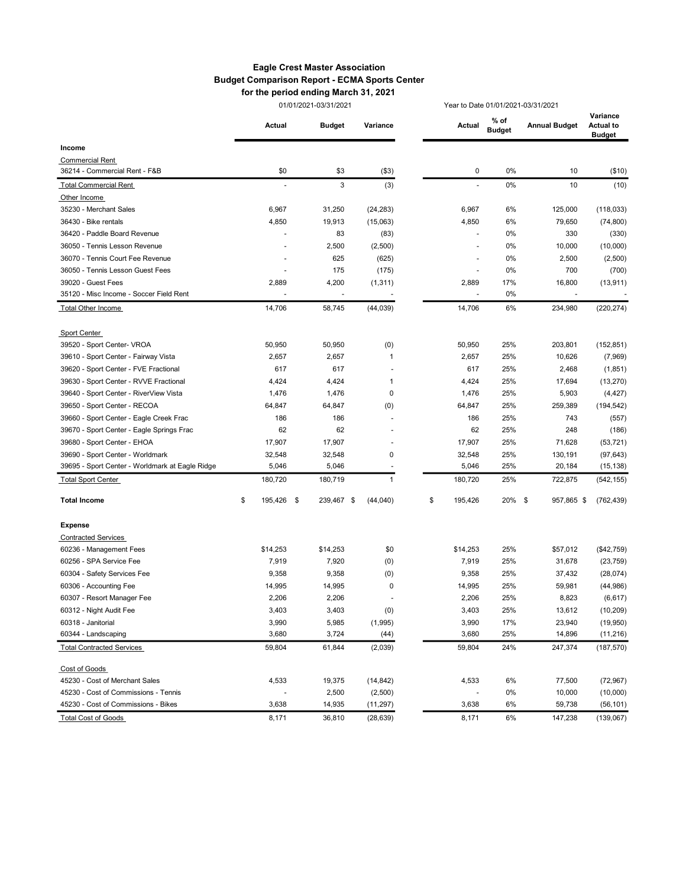#### Eagle Crest Master Association Budget Comparison Report - ECMA Sports Center for the period ending March 31, 2021

|                                                 |               | 01/01/2021-03/31/2021 |              |               | Year to Date 01/01/2021-03/31/2021 |                      |                                               |
|-------------------------------------------------|---------------|-----------------------|--------------|---------------|------------------------------------|----------------------|-----------------------------------------------|
|                                                 | Actual        | Budget                | Variance     | Actual        | % of<br><b>Budget</b>              | <b>Annual Budget</b> | Variance<br><b>Actual to</b><br><b>Budget</b> |
| Income                                          |               |                       |              |               |                                    |                      |                                               |
| <b>Commercial Rent</b>                          |               |                       |              |               |                                    |                      |                                               |
| 36214 - Commercial Rent - F&B                   | \$0           | \$3                   | (\$3)        | $\pmb{0}$     | 0%                                 | 10                   | (\$10)                                        |
| <b>Total Commercial Rent</b>                    |               | $\mathbf{3}$          | (3)          |               | 0%                                 | 10                   | (10)                                          |
| Other Income                                    |               |                       |              |               |                                    |                      |                                               |
| 35230 - Merchant Sales                          | 6,967         | 31,250                | (24, 283)    | 6,967         | 6%                                 | 125,000              | (118, 033)                                    |
| 36430 - Bike rentals                            | 4,850         | 19,913                | (15,063)     | 4,850         | 6%                                 | 79,650               | (74, 800)                                     |
| 36420 - Paddle Board Revenue                    |               | 83                    | (83)         | ä,            | 0%                                 | 330                  | (330)                                         |
| 36050 - Tennis Lesson Revenue                   |               | 2,500                 | (2,500)      |               | 0%                                 | 10,000               | (10,000)                                      |
| 36070 - Tennis Court Fee Revenue                |               | 625                   | (625)        |               | 0%                                 | 2,500                | (2,500)                                       |
| 36050 - Tennis Lesson Guest Fees                |               | 175                   | (175)        |               | 0%                                 | 700                  | (700)                                         |
| 39020 - Guest Fees                              | 2,889         | 4,200                 | (1, 311)     | 2,889         | 17%                                | 16,800               | (13, 911)                                     |
| 35120 - Misc Income - Soccer Field Rent         |               |                       |              |               | 0%                                 |                      |                                               |
| Total Other Income                              | 14,706        | 58,745                | (44, 039)    | 14,706        | 6%                                 | 234,980              | (220, 274)                                    |
| <b>Sport Center</b>                             |               |                       |              |               |                                    |                      |                                               |
| 39520 - Sport Center- VROA                      | 50,950        | 50,950                | (0)          | 50,950        | 25%                                | 203,801              | (152, 851)                                    |
| 39610 - Sport Center - Fairway Vista            | 2,657         | 2,657                 | $\mathbf{1}$ | 2,657         | 25%                                | 10,626               | (7,969)                                       |
| 39620 - Sport Center - FVE Fractional           | 617           | 617                   |              | 617           | 25%                                | 2,468                | (1, 851)                                      |
| 39630 - Sport Center - RVVE Fractional          | 4,424         | 4,424                 | $\mathbf{1}$ | 4,424         | 25%                                | 17,694               | (13, 270)                                     |
| 39640 - Sport Center - RiverView Vista          | 1,476         | 1,476                 | 0            | 1,476         | 25%                                | 5,903                | (4, 427)                                      |
| 39650 - Sport Center - RECOA                    | 64,847        | 64,847                | (0)          | 64,847        | 25%                                | 259,389              | (194, 542)                                    |
| 39660 - Sport Center - Eagle Creek Frac         | 186           | 186                   |              | 186           | 25%                                | 743                  | (557)                                         |
| 39670 - Sport Center - Eagle Springs Frac       | 62            | 62                    |              | 62            | 25%                                | 248                  | (186)                                         |
| 39680 - Sport Center - EHOA                     | 17,907        | 17,907                |              | 17,907        | 25%                                | 71,628               | (53, 721)                                     |
| 39690 - Sport Center - Worldmark                | 32,548        | 32,548                | 0            | 32,548        | 25%                                | 130,191              | (97, 643)                                     |
| 39695 - Sport Center - Worldmark at Eagle Ridge | 5,046         | 5,046                 |              | 5,046         | 25%                                | 20,184               | (15, 138)                                     |
| <b>Total Sport Center</b>                       | 180,720       | 180,719               | 1            | 180,720       | 25%                                | 722,875              | (542, 155)                                    |
| <b>Total Income</b>                             | \$<br>195,426 | \$<br>239,467 \$      | (44, 040)    | \$<br>195,426 | 20%                                | \$<br>957,865 \$     | (762, 439)                                    |
| <b>Expense</b>                                  |               |                       |              |               |                                    |                      |                                               |
| <b>Contracted Services</b>                      |               |                       |              |               |                                    |                      |                                               |
| 60236 - Management Fees                         | \$14,253      | \$14,253              | \$0          | \$14,253      | 25%                                | \$57,012             | (\$42,759)                                    |
| 60256 - SPA Service Fee                         | 7,919         | 7,920                 | (0)          | 7,919         | 25%                                | 31,678               | (23, 759)                                     |
| 60304 - Safety Services Fee                     | 9,358         | 9,358                 | (0)          | 9,358         | 25%                                | 37,432               | (28,074)                                      |
| 60306 - Accounting Fee                          | 14,995        | 14,995                | 0            | 14,995        | 25%                                | 59,981               | (44, 986)                                     |
| 60307 - Resort Manager Fee                      | 2,206         | 2,206                 |              | 2,206         | 25%                                | 8,823                | (6, 617)                                      |
| 60312 - Night Audit Fee                         | 3,403         | 3,403                 | (0)          | 3,403         | 25%                                | 13,612               | (10, 209)                                     |
| 60318 - Janitorial                              | 3,990         | 5,985                 | (1,995)      | 3,990         | 17%                                | 23,940               | (19,950)                                      |
| 60344 - Landscaping                             | 3,680         | 3,724                 | (44)         | 3,680         | 25%                                | 14,896               | (11, 216)                                     |
| <b>Total Contracted Services</b>                | 59,804        | 61,844                | (2,039)      | 59,804        | 24%                                | 247,374              | (187, 570)                                    |
| Cost of Goods                                   |               |                       |              |               |                                    |                      |                                               |
| 45230 - Cost of Merchant Sales                  | 4,533         | 19,375                | (14, 842)    | 4,533         | 6%                                 | 77,500               | (72, 967)                                     |
| 45230 - Cost of Commissions - Tennis            |               | 2,500                 | (2,500)      |               | 0%                                 | 10,000               | (10,000)                                      |
| 45230 - Cost of Commissions - Bikes             | 3,638         | 14,935                | (11, 297)    | 3,638         | 6%                                 | 59,738               | (56, 101)                                     |
| <b>Total Cost of Goods</b>                      | 8,171         | 36,810                | (28, 639)    | 8,171         | 6%                                 | 147,238              | (139,067)                                     |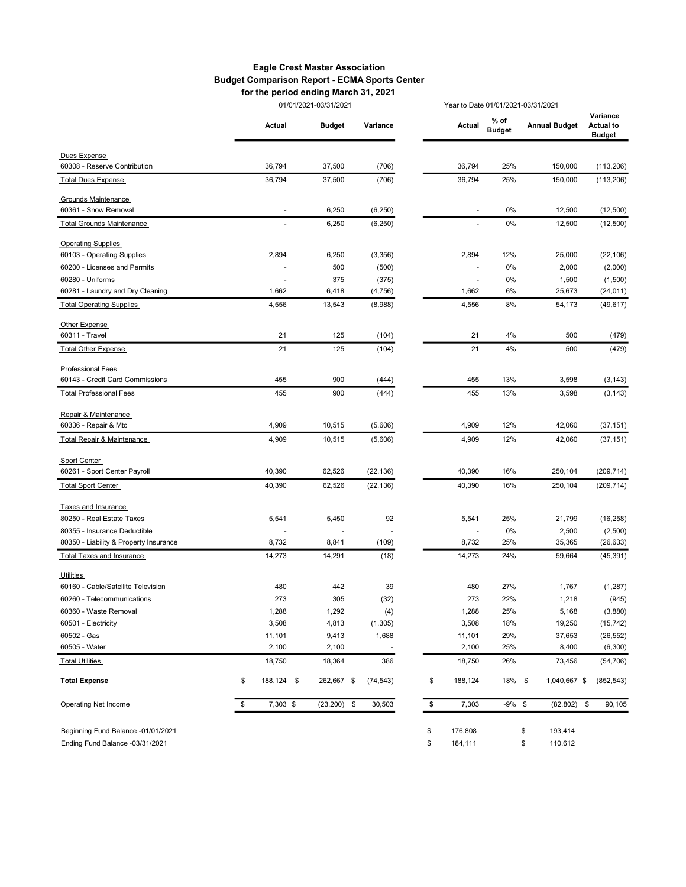#### Eagle Crest Master Association Budget Comparison Report - ECMA Sports Center for the period ending March 31, 2021

|                                        |                  | 01/01/2021-03/31/2021 |           |          | Year to Date 01/01/2021-03/31/2021 |                       |                      |                                               |
|----------------------------------------|------------------|-----------------------|-----------|----------|------------------------------------|-----------------------|----------------------|-----------------------------------------------|
|                                        | Actual           | <b>Budget</b>         | Variance  |          | Actual                             | % of<br><b>Budget</b> | <b>Annual Budget</b> | Variance<br><b>Actual to</b><br><b>Budget</b> |
| Dues Expense                           |                  |                       |           |          |                                    |                       |                      |                                               |
| 60308 - Reserve Contribution           | 36,794           | 37,500                | (706)     |          | 36,794                             | 25%                   | 150,000              | (113, 206)                                    |
| <b>Total Dues Expense</b>              | 36,794           | 37,500                | (706)     |          | 36,794                             | 25%                   | 150,000              | (113, 206)                                    |
| Grounds Maintenance                    |                  |                       |           |          |                                    |                       |                      |                                               |
| 60361 - Snow Removal                   |                  | 6,250                 | (6, 250)  |          |                                    | 0%                    | 12,500               | (12,500)                                      |
| <b>Total Grounds Maintenance</b>       |                  | 6,250                 | (6, 250)  |          | $\blacksquare$                     | 0%                    | 12,500               | (12,500)                                      |
| <b>Operating Supplies</b>              |                  |                       |           |          |                                    |                       |                      |                                               |
| 60103 - Operating Supplies             | 2,894            | 6,250                 | (3,356)   |          | 2,894                              | 12%                   | 25,000               | (22, 106)                                     |
| 60200 - Licenses and Permits           |                  | 500                   | (500)     |          |                                    | 0%                    | 2,000                | (2,000)                                       |
| 60280 - Uniforms                       |                  | 375                   | (375)     |          | $\overline{\phantom{a}}$           | 0%                    | 1,500                | (1,500)                                       |
| 60281 - Laundry and Dry Cleaning       | 1,662            | 6,418                 | (4, 756)  |          | 1,662                              | 6%                    | 25,673               | (24, 011)                                     |
| <b>Total Operating Supplies</b>        | 4,556            | 13,543                | (8,988)   |          | 4,556                              | 8%                    | 54,173               | (49, 617)                                     |
| Other Expense                          |                  |                       |           |          |                                    |                       |                      |                                               |
| 60311 - Travel                         | 21               | 125                   | (104)     |          | 21                                 | 4%                    | 500                  | (479)                                         |
| <b>Total Other Expense</b>             | 21               | 125                   | (104)     |          | 21                                 | 4%                    | 500                  | (479)                                         |
| Professional Fees                      |                  |                       |           |          |                                    |                       |                      |                                               |
| 60143 - Credit Card Commissions        | 455              | 900                   | (444)     |          | 455                                | 13%                   | 3,598                | (3, 143)                                      |
| <b>Total Professional Fees</b>         | 455              | 900                   | (444)     |          | 455                                | 13%                   | 3,598                | (3, 143)                                      |
| Repair & Maintenance                   |                  |                       |           |          |                                    |                       |                      |                                               |
| 60336 - Repair & Mtc                   | 4,909            | 10,515                | (5,606)   |          | 4,909                              | 12%                   | 42,060               | (37, 151)                                     |
| Total Repair & Maintenance             | 4,909            | 10,515                | (5,606)   |          | 4,909                              | 12%                   | 42,060               | (37, 151)                                     |
| Sport Center                           |                  |                       |           |          |                                    |                       |                      |                                               |
| 60261 - Sport Center Payroll           | 40,390           | 62,526                | (22, 136) |          | 40,390                             | 16%                   | 250,104              | (209, 714)                                    |
| <b>Total Sport Center</b>              | 40,390           | 62,526                | (22, 136) |          | 40,390                             | 16%                   | 250,104              | (209, 714)                                    |
| Taxes and Insurance                    |                  |                       |           |          |                                    |                       |                      |                                               |
| 80250 - Real Estate Taxes              | 5,541            | 5,450                 | 92        |          | 5,541                              | 25%                   | 21,799               | (16, 258)                                     |
| 80355 - Insurance Deductible           |                  |                       |           |          |                                    | 0%                    | 2,500                | (2,500)                                       |
| 80350 - Liability & Property Insurance | 8,732            | 8,841                 | (109)     |          | 8,732                              | 25%                   | 35,365               | (26, 633)                                     |
| <b>Total Taxes and Insurance</b>       | 14,273           | 14,291                | (18)      |          | 14,273                             | 24%                   | 59,664               | (45, 391)                                     |
| <b>Utilities</b>                       |                  |                       |           |          |                                    |                       |                      |                                               |
| 60160 - Cable/Satellite Television     | 480              | 442                   | 39        |          | 480                                | 27%                   | 1,767                | (1, 287)                                      |
| 60260 - Telecommunications             | 273              | 305                   | (32)      |          | 273                                | 22%                   | 1,218                | (945)                                         |
| 60360 - Waste Removal                  | 1,288            | 1,292                 | (4)       |          | 1,288                              | 25%                   | 5,168                | (3,880)                                       |
| 60501 - Electricity                    | 3,508            | 4,813                 | (1, 305)  |          | 3,508                              | 18%                   | 19,250               | (15, 742)                                     |
| 60502 - Gas                            | 11,101           | 9,413                 | 1,688     |          | 11,101                             | 29%                   | 37,653               | (26, 552)                                     |
| 60505 - Water                          | 2,100            | 2,100                 |           |          | 2,100                              | 25%                   | 8,400                | (6,300)                                       |
| <b>Total Utilities</b>                 | 18,750           | 18,364                | 386       |          | 18,750                             | 26%                   | 73,456               | (54, 706)                                     |
| <b>Total Expense</b>                   | \$<br>188,124 \$ | 262,667 \$            | (74, 543) | \$       | 188,124                            | 18% \$                | 1,040,667 \$         | (852, 543)                                    |
| Operating Net Income                   | \$<br>7,303 \$   | $(23,200)$ \$         | 30,503    | \$       | 7,303                              | $-9\%$ \$             | (82, 802)            | 90,105<br>\$                                  |
|                                        |                  |                       |           |          |                                    |                       |                      |                                               |
| Beginning Fund Balance -01/01/2021     |                  |                       |           | \$<br>\$ | 176,808<br>184,111                 |                       | 193,414<br>\$<br>\$  |                                               |
| Ending Fund Balance -03/31/2021        |                  |                       |           |          |                                    |                       | 110,612              |                                               |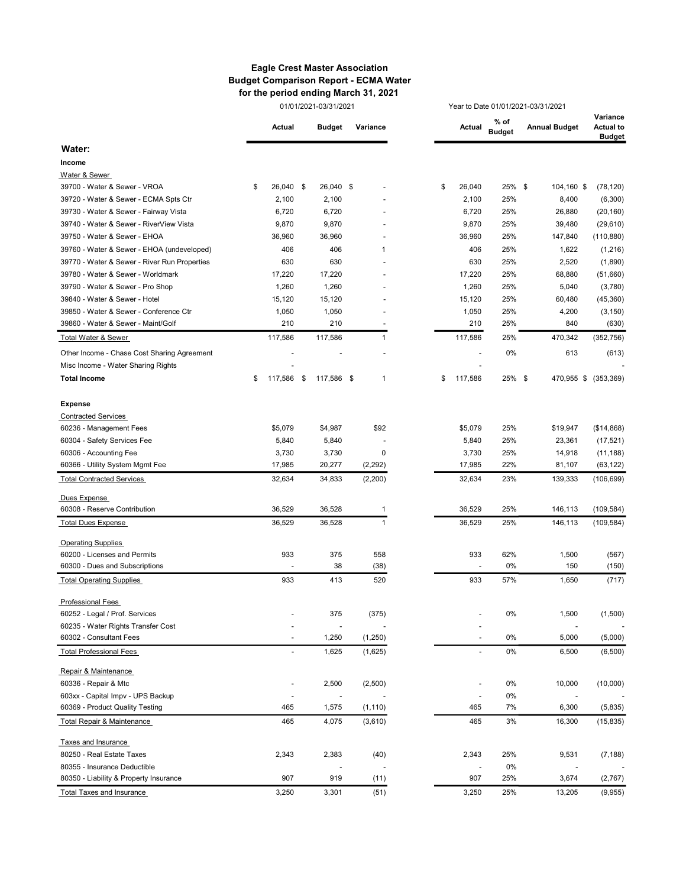### Eagle Crest Master Association Budget Comparison Report - ECMA Water for the period ending March 31, 2021

|                                              | 01/01/2021-03/31/2021    |                  |              | Year to Date 01/01/2021-03/31/2021 |                       |                      |                                               |
|----------------------------------------------|--------------------------|------------------|--------------|------------------------------------|-----------------------|----------------------|-----------------------------------------------|
|                                              | Actual                   | <b>Budget</b>    | Variance     | Actual                             | % of<br><b>Budget</b> | <b>Annual Budget</b> | Variance<br><b>Actual to</b><br><b>Budget</b> |
| Water:                                       |                          |                  |              |                                    |                       |                      |                                               |
| Income                                       |                          |                  |              |                                    |                       |                      |                                               |
| Water & Sewer                                |                          |                  |              |                                    |                       |                      |                                               |
| 39700 - Water & Sewer - VROA                 | 26,040<br>\$             | \$<br>26,040 \$  |              | \$<br>26,040                       | 25% \$                | 104,160 \$           | (78, 120)                                     |
| 39720 - Water & Sewer - ECMA Spts Ctr        | 2,100                    | 2,100            |              | 2,100                              | 25%                   | 8,400                | (6,300)                                       |
| 39730 - Water & Sewer - Fairway Vista        | 6,720                    | 6,720            |              | 6,720                              | 25%                   | 26,880               | (20, 160)                                     |
| 39740 - Water & Sewer - RiverView Vista      | 9,870                    | 9,870            |              | 9,870                              | 25%                   | 39,480               | (29, 610)                                     |
| 39750 - Water & Sewer - EHOA                 | 36,960                   | 36,960           |              | 36,960                             | 25%                   | 147,840              | (110, 880)                                    |
| 39760 - Water & Sewer - EHOA (undeveloped)   | 406                      | 406              | 1            | 406                                | 25%                   | 1,622                | (1,216)                                       |
| 39770 - Water & Sewer - River Run Properties | 630                      | 630              |              | 630                                | 25%                   | 2,520                | (1,890)                                       |
| 39780 - Water & Sewer - Worldmark            | 17,220                   | 17,220           |              | 17,220                             | 25%                   | 68,880               | (51,660)                                      |
| 39790 - Water & Sewer - Pro Shop             | 1,260                    | 1,260            |              | 1,260                              | 25%                   | 5,040                | (3,780)                                       |
| 39840 - Water & Sewer - Hotel                | 15,120                   | 15,120           |              | 15,120                             | 25%                   | 60,480               | (45, 360)                                     |
| 39850 - Water & Sewer - Conference Ctr       | 1,050                    | 1,050            |              | 1,050                              | 25%                   | 4,200                | (3, 150)                                      |
| 39860 - Water & Sewer - Maint/Golf           | 210                      | 210              |              | 210                                | 25%                   | 840                  | (630)                                         |
| Total Water & Sewer                          | 117,586                  | 117,586          | $\mathbf{1}$ | 117,586                            | 25%                   | 470,342              | (352, 756)                                    |
| Other Income - Chase Cost Sharing Agreement  |                          |                  |              |                                    | 0%                    | 613                  | (613)                                         |
| Misc Income - Water Sharing Rights           |                          |                  |              |                                    |                       |                      |                                               |
| <b>Total Income</b>                          | 117,586<br>\$            | 117,586 \$<br>\$ | $\mathbf{1}$ | \$<br>117,586                      | 25% \$                |                      | 470,955 \$ (353,369)                          |
| <b>Expense</b>                               |                          |                  |              |                                    |                       |                      |                                               |
| <b>Contracted Services</b>                   |                          |                  |              |                                    |                       |                      |                                               |
| 60236 - Management Fees                      | \$5,079                  | \$4,987          | \$92         | \$5,079                            | 25%                   | \$19,947             | (\$14,868)                                    |
| 60304 - Safety Services Fee                  | 5,840                    | 5,840            |              | 5,840                              | 25%                   | 23,361               | (17, 521)                                     |
| 60306 - Accounting Fee                       | 3,730                    | 3,730            | 0            | 3,730                              | 25%                   | 14,918               | (11, 188)                                     |
| 60366 - Utility System Mgmt Fee              | 17,985                   | 20,277           | (2, 292)     | 17,985                             | 22%                   | 81,107               | (63, 122)                                     |
| <b>Total Contracted Services</b>             | 32,634                   | 34,833           | (2,200)      | 32,634                             | 23%                   | 139,333              | (106, 699)                                    |
| Dues Expense                                 |                          |                  |              |                                    |                       |                      |                                               |
| 60308 - Reserve Contribution                 | 36,529                   | 36,528           | 1            | 36,529                             | 25%                   | 146,113              | (109, 584)                                    |
| <b>Total Dues Expense</b>                    | 36,529                   | 36,528           | $\mathbf{1}$ | 36,529                             | 25%                   | 146,113              | (109, 584)                                    |
| <b>Operating Supplies</b>                    |                          |                  |              |                                    |                       |                      |                                               |
| 60200 - Licenses and Permits                 | 933                      | 375              | 558          | 933                                | 62%                   | 1,500                | (567)                                         |
| 60300 - Dues and Subscriptions               | $\overline{a}$           | 38               | (38)         | $\overline{a}$                     | 0%                    | 150                  | (150)                                         |
| <b>Total Operating Supplies</b>              | 933                      | 413              | 520          | 933                                | 57%                   | 1,650                | (717)                                         |
| <b>Professional Fees</b>                     |                          |                  |              |                                    |                       |                      |                                               |
| 60252 - Legal / Prof. Services               |                          | 375              | (375)        |                                    | 0%                    | 1,500                | (1,500)                                       |
| 60235 - Water Rights Transfer Cost           |                          |                  |              |                                    |                       |                      |                                               |
| 60302 - Consultant Fees                      |                          | 1,250            | (1,250)      | $\sim$                             | 0%                    | 5,000                | (5,000)                                       |
| <b>Total Professional Fees</b>               | $\blacksquare$           | 1,625            | (1,625)      | $\blacksquare$                     | 0%                    | 6,500                | (6,500)                                       |
| Repair & Maintenance                         |                          |                  |              |                                    |                       |                      |                                               |
| 60336 - Repair & Mtc                         | $\overline{\phantom{a}}$ | 2,500            | (2,500)      |                                    | 0%                    | 10,000               | (10,000)                                      |
| 603xx - Capital Impv - UPS Backup            | $\overline{\phantom{a}}$ | ÷,               |              | $\blacksquare$                     | 0%                    |                      |                                               |
| 60369 - Product Quality Testing              | 465                      | 1,575            | (1, 110)     | 465                                | 7%                    | 6,300                | (5,835)                                       |
| Total Repair & Maintenance                   | 465                      | 4,075            | (3,610)      | 465                                | 3%                    | 16,300               | (15, 835)                                     |
| Taxes and Insurance                          |                          |                  |              |                                    |                       |                      |                                               |
| 80250 - Real Estate Taxes                    | 2,343                    | 2,383            | (40)         | 2,343                              | 25%                   | 9,531                | (7, 188)                                      |
| 80355 - Insurance Deductible                 |                          | $\overline{a}$   |              | $\overline{\phantom{a}}$           | 0%                    |                      |                                               |
| 80350 - Liability & Property Insurance       | 907                      | 919              | (11)         | 907                                | 25%                   | 3,674                | (2,767)                                       |
| Total Taxes and Insurance                    | 3,250                    | 3,301            | (51)         | 3,250                              | 25%                   | 13,205               | (9,955)                                       |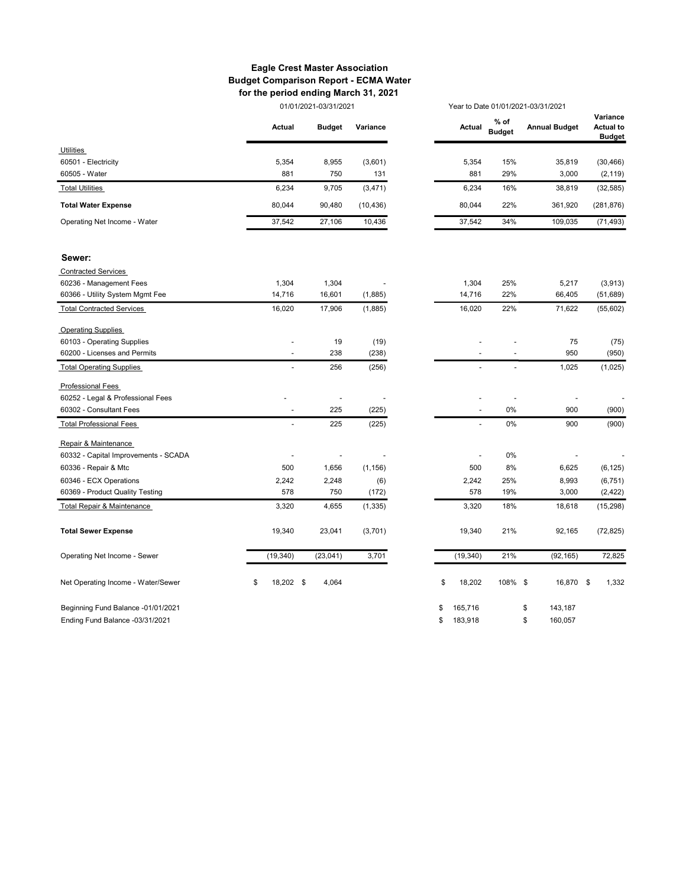### Eagle Crest Master Association Budget Comparison Report - ECMA Water for the period ending March 31, 2021

01/01/2021-03/31/2021 Year to Date 01/01/2021-03/31/2021

|                                      | Actual                   | <b>Budget</b> | Variance  | Actual         | $%$ of<br><b>Budget</b> | <b>Annual Budget</b> | Variance<br><b>Actual to</b><br><b>Budget</b> |
|--------------------------------------|--------------------------|---------------|-----------|----------------|-------------------------|----------------------|-----------------------------------------------|
| Utilities                            |                          |               |           |                |                         |                      |                                               |
| 60501 - Electricity                  | 5,354                    | 8,955         | (3,601)   | 5,354          | 15%                     | 35,819               | (30, 466)                                     |
| 60505 - Water                        | 881                      | 750           | 131       | 881            | 29%                     | 3,000                | (2, 119)                                      |
| <b>Total Utilities</b>               | 6,234                    | 9,705         | (3, 471)  | 6,234          | 16%                     | 38,819               | (32, 585)                                     |
| <b>Total Water Expense</b>           | 80,044                   | 90,480        | (10, 436) | 80,044         | 22%                     | 361,920              | (281, 876)                                    |
| Operating Net Income - Water         | 37,542                   | 27,106        | 10,436    | 37,542         | 34%                     | 109,035              | (71, 493)                                     |
| Sewer:                               |                          |               |           |                |                         |                      |                                               |
| <b>Contracted Services</b>           |                          |               |           |                |                         |                      |                                               |
| 60236 - Management Fees              | 1,304                    | 1,304         |           | 1,304          | 25%                     | 5,217                | (3,913)                                       |
| 60366 - Utility System Mgmt Fee      | 14,716                   | 16,601        | (1,885)   | 14,716         | 22%                     | 66,405               | (51, 689)                                     |
| <b>Total Contracted Services</b>     | 16,020                   | 17,906        | (1,885)   | 16,020         | 22%                     | 71,622               | (55,602)                                      |
| <b>Operating Supplies</b>            |                          |               |           |                |                         |                      |                                               |
| 60103 - Operating Supplies           |                          | 19            | (19)      |                |                         | 75                   | (75)                                          |
| 60200 - Licenses and Permits         | ٠                        | 238           | (238)     | ÷              | ÷                       | 950                  | (950)                                         |
| <b>Total Operating Supplies</b>      |                          | 256           | (256)     |                |                         | 1,025                | (1,025)                                       |
| <b>Professional Fees</b>             |                          |               |           |                |                         |                      |                                               |
| 60252 - Legal & Professional Fees    |                          |               |           |                |                         |                      |                                               |
| 60302 - Consultant Fees              | $\sim$                   | 225           | (225)     | $\overline{a}$ | 0%                      | 900                  | (900)                                         |
| <b>Total Professional Fees</b>       | $\overline{\phantom{a}}$ | 225           | (225)     |                | 0%                      | 900                  | (900)                                         |
| Repair & Maintenance                 |                          |               |           |                |                         |                      |                                               |
| 60332 - Capital Improvements - SCADA | ÷,                       |               |           |                | 0%                      |                      |                                               |
| 60336 - Repair & Mtc                 | 500                      | 1,656         | (1, 156)  | 500            | 8%                      | 6,625                | (6, 125)                                      |
| 60346 - ECX Operations               | 2,242                    | 2,248         | (6)       | 2,242          | 25%                     | 8,993                | (6, 751)                                      |
| 60369 - Product Quality Testing      | 578                      | 750           | (172)     | 578            | 19%                     | 3,000                | (2, 422)                                      |
| Total Repair & Maintenance           | 3,320                    | 4,655         | (1, 335)  | 3,320          | 18%                     | 18,618               | (15, 298)                                     |
| <b>Total Sewer Expense</b>           | 19,340                   | 23,041        | (3,701)   | 19,340         | 21%                     | 92,165               | (72, 825)                                     |
| Operating Net Income - Sewer         | (19, 340)                | (23,041)      | 3,701     | (19, 340)      | 21%                     | (92, 165)            | 72,825                                        |
| Net Operating Income - Water/Sewer   | 18,202 \$<br>\$          | 4,064         |           | \$<br>18,202   | 108% \$                 | 16,870 \$            | 1,332                                         |
| Beginning Fund Balance -01/01/2021   |                          |               |           | \$<br>165,716  |                         | \$<br>143,187        |                                               |
| Ending Fund Balance -03/31/2021      |                          |               |           | \$<br>183,918  |                         | \$<br>160,057        |                                               |